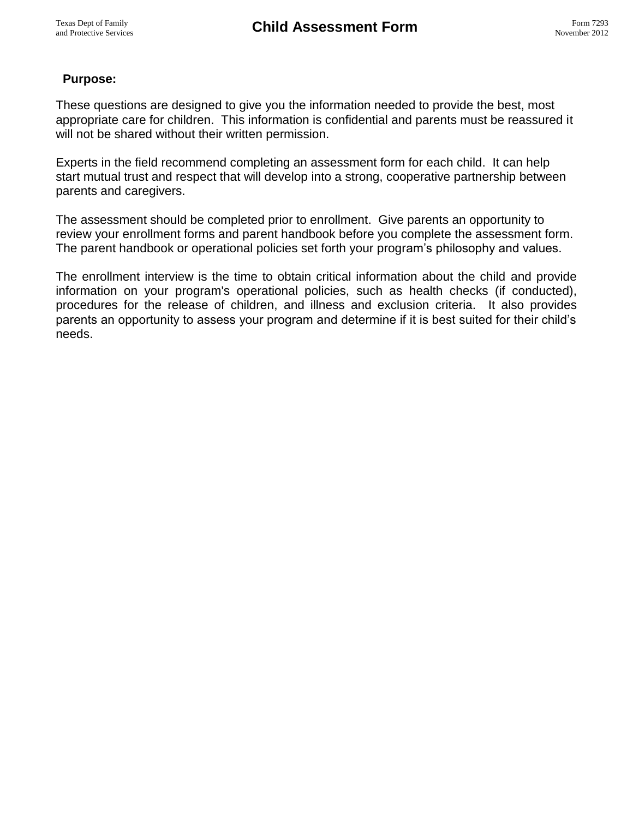# **Purpose:**

These questions are designed to give you the information needed to provide the best, most appropriate care for children. This information is confidential and parents must be reassured it will not be shared without their written permission.

Experts in the field recommend completing an assessment form for each child. It can help start mutual trust and respect that will develop into a strong, cooperative partnership between parents and caregivers.

The assessment should be completed prior to enrollment. Give parents an opportunity to review your enrollment forms and parent handbook before you complete the assessment form. The parent handbook or operational policies set forth your program's philosophy and values.

The enrollment interview is the time to obtain critical information about the child and provide information on your program's operational policies, such as health checks (if conducted), procedures for the release of children, and illness and exclusion criteria. It also provides parents an opportunity to assess your program and determine if it is best suited for their child's needs.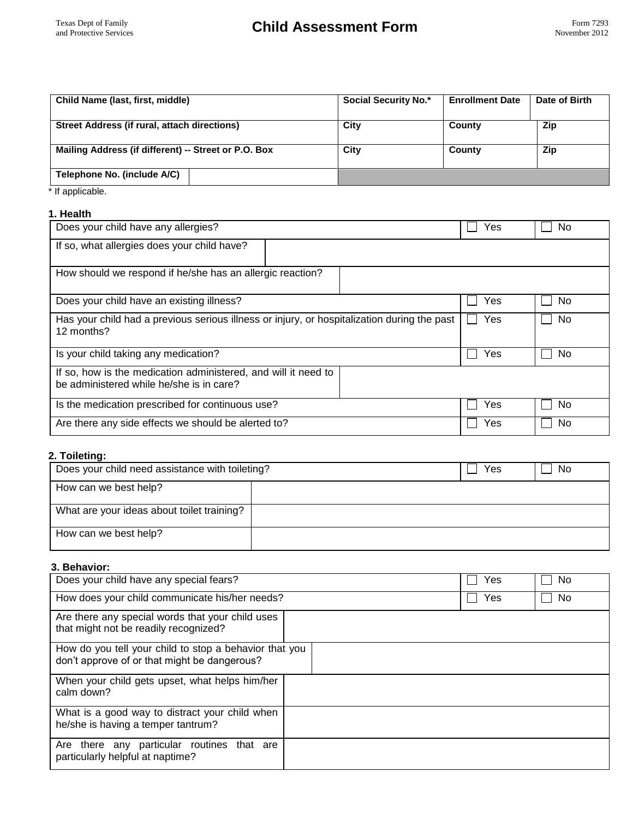| Child Name (last, first, middle)                     | <b>Social Security No.*</b> | <b>Enrollment Date</b> | Date of Birth |
|------------------------------------------------------|-----------------------------|------------------------|---------------|
|                                                      |                             |                        |               |
| Street Address (if rural, attach directions)         | City                        | County                 | Zip           |
|                                                      |                             |                        |               |
| Mailing Address (if different) -- Street or P.O. Box | City                        | County                 | <b>Zip</b>    |
| Telephone No. (include A/C)                          |                             |                        |               |

\* If applicable.

#### **1. Health**

| Does your child have any allergies?                                                                        | Yes | No.       |
|------------------------------------------------------------------------------------------------------------|-----|-----------|
| If so, what allergies does your child have?                                                                |     |           |
| How should we respond if he/she has an allergic reaction?                                                  |     |           |
| Does your child have an existing illness?                                                                  | Yes | <b>No</b> |
| Has your child had a previous serious illness or injury, or hospitalization during the past<br>12 months?  |     | No        |
| Is your child taking any medication?                                                                       |     | <b>No</b> |
| If so, how is the medication administered, and will it need to<br>be administered while he/she is in care? |     |           |
| Is the medication prescribed for continuous use?                                                           | Yes | <b>No</b> |
| Are there any side effects we should be alerted to?                                                        | Yes | <b>No</b> |

# **2. Toileting:**

| Does your child need assistance with toileting? |  | Yes | <b>No</b> |
|-------------------------------------------------|--|-----|-----------|
| How can we best help?                           |  |     |           |
| What are your ideas about toilet training?      |  |     |           |
| How can we best help?                           |  |     |           |

## **3. Behavior:**

| Does your child have any special fears?                                                                | Yes | No. |
|--------------------------------------------------------------------------------------------------------|-----|-----|
| How does your child communicate his/her needs?                                                         | Yes | No. |
| Are there any special words that your child uses<br>that might not be readily recognized?              |     |     |
| How do you tell your child to stop a behavior that you<br>don't approve of or that might be dangerous? |     |     |
| When your child gets upset, what helps him/her<br>calm down?                                           |     |     |
| What is a good way to distract your child when<br>he/she is having a temper tantrum?                   |     |     |
| Are there any particular routines that are<br>particularly helpful at naptime?                         |     |     |